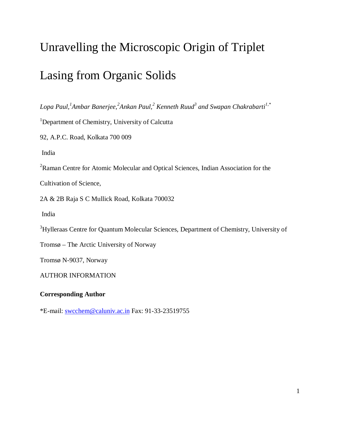# Unravelling the Microscopic Origin of Triplet Lasing from Organic Solids

*Lopa Paul,<sup>1</sup> Ambar Banerjee,<sup>2</sup> Ankan Paul,<sup>2</sup> Kenneth Ruud<sup>3</sup> and Swapan Chakrabarti1,\**

<sup>1</sup>Department of Chemistry, University of Calcutta

92, A.P.C. Road, Kolkata 700 009

India

<sup>2</sup>Raman Centre for Atomic Molecular and Optical Sciences, Indian Association for the

Cultivation of Science,

2A & 2B Raja S C Mullick Road, Kolkata 700032

India

<sup>3</sup>Hylleraas Centre for Quantum Molecular Sciences, Department of Chemistry, University of

Tromsø – The Arctic University of Norway

Tromsø N-9037, Norway

AUTHOR INFORMATION

## **Corresponding Author**

\*E-mail: swcchem@caluniv.ac.in Fax: 91-33-23519755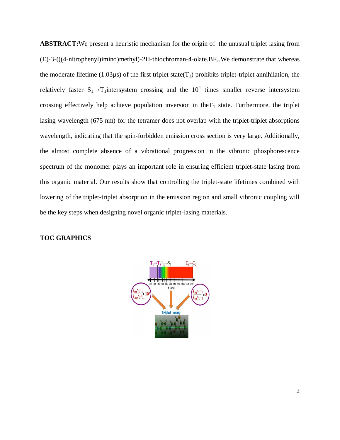**ABSTRACT:**We present a heuristic mechanism for the origin of the unusual triplet lasing from  $(E)-3-(((4-nitrophenyl)imino)$ methyl $)-2H-thiochroman-4-olate.BF<sub>2</sub>$ . We demonstrate that whereas the moderate lifetime (1.03 $\mu$ s) of the first triplet state(T<sub>1</sub>) prohibits triplet-triplet annihilation, the relatively faster  $S_1 \rightarrow T_1$ intersystem crossing and the  $10^4$  times smaller reverse intersystem crossing effectively help achieve population inversion in the $T_1$  state. Furthermore, the triplet lasing wavelength (675 nm) for the tetramer does not overlap with the triplet-triplet absorptions wavelength, indicating that the spin-forbidden emission cross section is very large. Additionally, the almost complete absence of a vibrational progression in the vibronic phosphorescence spectrum of the monomer plays an important role in ensuring efficient triplet-state lasing from this organic material. Our results show that controlling the triplet-state lifetimes combined with lowering of the triplet-triplet absorption in the emission region and small vibronic coupling will be the key steps when designing novel organic triplet-lasing materials.

#### **TOC GRAPHICS**

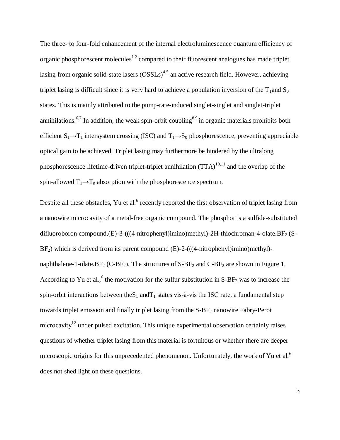The three- to four-fold enhancement of the internal electroluminescence quantum efficiency of organic phosphorescent molecules<sup>1-3</sup> compared to their fluorescent analogues has made triplet lasing from organic solid-state lasers  $(SSSLs)^{4,5}$  an active research field. However, achieving triplet lasing is difficult since it is very hard to achieve a population inversion of the  $T_1$ and  $S_0$ states. This is mainly attributed to the pump-rate-induced singlet-singlet and singlet-triplet annihilations.<sup>6,7</sup> In addition, the weak spin-orbit coupling<sup>8,9</sup> in organic materials prohibits both efficient  $S_1 \rightarrow T_1$  intersystem crossing (ISC) and  $T_1 \rightarrow S_0$  phosphorescence, preventing appreciable optical gain to be achieved. Triplet lasing may furthermore be hindered by the ultralong phosphorescence lifetime-driven triplet-triplet annihilation  $(TTA)^{10,11}$  and the overlap of the spin-allowed  $T_1 \rightarrow T_n$  absorption with the phosphorescence spectrum.

Despite all these obstacles, Yu et al.<sup>6</sup> recently reported the first observation of triplet lasing from a nanowire microcavity of a metal-free organic compound. The phosphor is a sulfide-substituted difluoroboron compound, $(E)$ -3- $(((4-nitrophenyl)imino)$ methyl $)-2H$ -thiochroman-4-olate.BF<sub>2</sub> (S- $BF<sub>2</sub>$ ) which is derived from its parent compound  $(E)$ -2- $(((4-nitrophenyl)imino)$ methyl)naphthalene-1-olate.BF<sub>2</sub> (C-BF<sub>2</sub>). The structures of S-BF<sub>2</sub> and C-BF<sub>2</sub> are shown in Figure 1. According to Yu et al.,<sup>6</sup> the motivation for the sulfur substitution in  $S-BF_2$  was to increase the spin-orbit interactions between the  $S_1$  and  $T_1$  states vis-à-vis the ISC rate, a fundamental step towards triplet emission and finally triplet lasing from the S-BF<sub>2</sub> nanowire Fabry-Perot microcavity<sup>12</sup> under pulsed excitation. This unique experimental observation certainly raises questions of whether triplet lasing from this material is fortuitous or whether there are deeper microscopic origins for this unprecedented phenomenon. Unfortunately, the work of Yu et al.<sup>6</sup> does not shed light on these questions.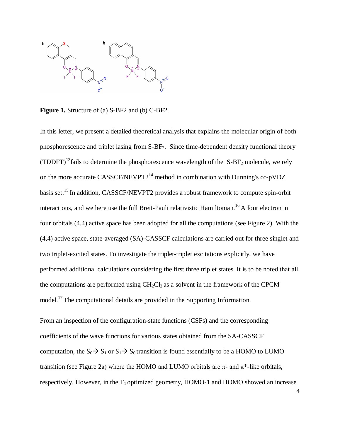

**Figure 1.** Structure of (a) S-BF2 and (b) C-BF2.

In this letter, we present a detailed theoretical analysis that explains the molecular origin of both phosphorescence and triplet lasing from S-BF2. Since time-dependent density functional theory (TDDFT)<sup>13</sup>fails to determine the phosphorescence wavelength of the S-BF<sub>2</sub> molecule, we rely on the more accurate CASSCF/NEVPT $2^{14}$  method in combination with Dunning's cc-pVDZ basis set.<sup>15</sup> In addition, CASSCF/NEVPT2 provides a robust framework to compute spin-orbit interactions, and we here use the full Breit-Pauli relativistic Hamiltonian.<sup>16</sup> A four electron in four orbitals (4,4) active space has been adopted for all the computations (see Figure 2). With the (4,4) active space, state-averaged (SA)-CASSCF calculations are carried out for three singlet and two triplet-excited states. To investigate the triplet-triplet excitations explicitly, we have performed additional calculations considering the first three triplet states. It is to be noted that all the computations are performed using  $CH_2Cl_2$  as a solvent in the framework of the CPCM model.<sup>17</sup> The computational details are provided in the Supporting Information.

From an inspection of the configuration-state functions (CSFs) and the corresponding coefficients of the wave functions for various states obtained from the SA-CASSCF computation, the  $S_0 \rightarrow S_1$  or  $S_1 \rightarrow S_0$  transition is found essentially to be a HOMO to LUMO transition (see Figure 2a) where the HOMO and LUMO orbitals are  $\pi$ - and  $\pi^*$ -like orbitals, respectively. However, in the  $T_1$  optimized geometry, HOMO-1 and HOMO showed an increase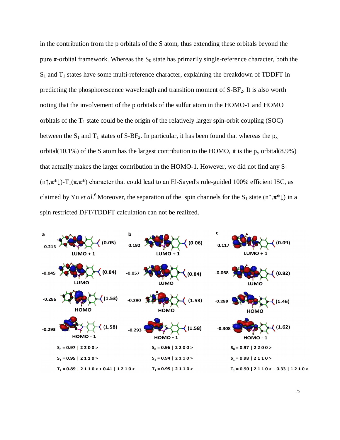in the contribution from the p orbitals of the S atom, thus extending these orbitals beyond the pure  $\pi$ -orbital framework. Whereas the S<sub>0</sub> state has primarily single-reference character, both the  $S_1$  and  $T_1$  states have some multi-reference character, explaining the breakdown of TDDFT in predicting the phosphorescence wavelength and transition moment of S-BF2. It is also worth noting that the involvement of the p orbitals of the sulfur atom in the HOMO-1 and HOMO orbitals of the  $T_1$  state could be the origin of the relatively larger spin-orbit coupling (SOC) between the  $S_1$  and  $T_1$  states of S-BF<sub>2</sub>. In particular, it has been found that whereas the  $p_x$ orbital(10.1%) of the S atom has the largest contribution to the HOMO, it is the  $p_y$  orbital(8.9%) that actually makes the larger contribution in the HOMO-1. However, we did not find any  $S_1$  $(n \uparrow,\pi^* \downarrow)$ -T<sub>1</sub>( $\pi,\pi^*$ ) character that could lead to an El-Sayed's rule-guided 100% efficient ISC, as claimed by Yu *et al.* Moreover, the separation of the spin channels for the S<sub>1</sub> state (n↑, $\pi^*$ ) in a spin restricted DFT/TDDFT calculation can not be realized.

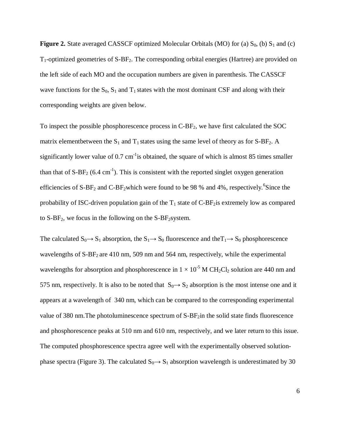**Figure 2.** State averaged CASSCF optimized Molecular Orbitals (MO) for (a)  $S_0$ , (b)  $S_1$  and (c)  $T_1$ -optimized geometries of S-BF<sub>2</sub>. The corresponding orbital energies (Hartree) are provided on the left side of each MO and the occupation numbers are given in parenthesis. The CASSCF wave functions for the  $S_0$ ,  $S_1$  and  $T_1$  states with the most dominant CSF and along with their corresponding weights are given below.

To inspect the possible phosphorescence process in  $C-BF_2$ , we have first calculated the SOC matrix element between the  $S_1$  and  $T_1$  states using the same level of theory as for S-BF<sub>2</sub>. A significantly lower value of  $0.7 \text{ cm}^{-1}$  is obtained, the square of which is almost 85 times smaller than that of  $S-BF_2$  (6.4 cm<sup>-1</sup>). This is consistent with the reported singlet oxygen generation efficiencies of  $S-BF_2$  and  $C-BF_2$ which were found to be 98 % and 4%, respectively.<sup>6</sup>Since the probability of ISC-driven population gain of the  $T_1$  state of C-BF<sub>2</sub>is extremely low as compared to  $S-BF_2$ , we focus in the following on the  $S-BF_2$  system.

The calculated  $S_0 \rightarrow S_1$  absorption, the  $S_1 \rightarrow S_0$  fluorescence and the  $T_1 \rightarrow S_0$  phosphorescence wavelengths of  $S-BF_2$  are 410 nm, 509 nm and 564 nm, respectively, while the experimental wavelengths for absorption and phosphorescence in  $1 \times 10^{-5}$  M CH<sub>2</sub>Cl<sub>2</sub> solution are 440 nm and 575 nm, respectively. It is also to be noted that  $S_0 \rightarrow S_2$  absorption is the most intense one and it appears at a wavelength of 340 nm, which can be compared to the corresponding experimental value of 380 nm. The photoluminescence spectrum of  $S-BF_2$  in the solid state finds fluorescence and phosphorescence peaks at 510 nm and 610 nm, respectively, and we later return to this issue. The computed phosphorescence spectra agree well with the experimentally observed solutionphase spectra (Figure 3). The calculated  $S_0 \rightarrow S_1$  absorption wavelength is underestimated by 30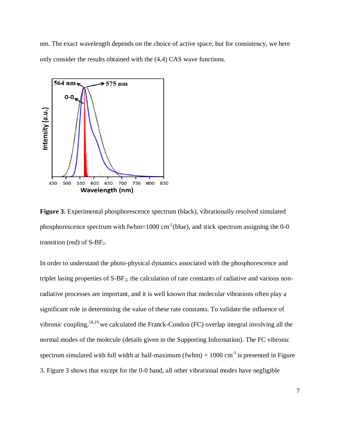nm. The exact wavelength depends on the choice of active space, but for consistency, we here only consider the results obtained with the (4,4) CAS wave functions.



**Figure 3.** Experimental phosphorescence spectrum (black), vibrationally resolved simulated phosphorescence spectrum with fwhm=1000 cm<sup>-1</sup>(blue), and stick spectrum assigning the 0-0 transition (red) of  $S-BF_2$ .

In order to understand the photo-physical dynamics associated with the phosphorescence and triplet lasing properties of  $S-BF_2$ , the calculation of rate constants of radiative and various nonradiative processes are important, and it is well known that molecular vibrations often play a significant role in determining the value of these rate constants. To validate the influence of vibronic coupling,  $^{18,19}$  we calculated the Franck-Condon (FC) overlap integral involving all the normal modes of the molecule (details given in the Supporting Information). The FC vibronic spectrum simulated with full width at half-maximum (fwhm) =  $1000 \text{ cm}^{-1}$  is presented in Figure 3. Figure 3 shows that except for the 0-0 band, all other vibrational modes have negligible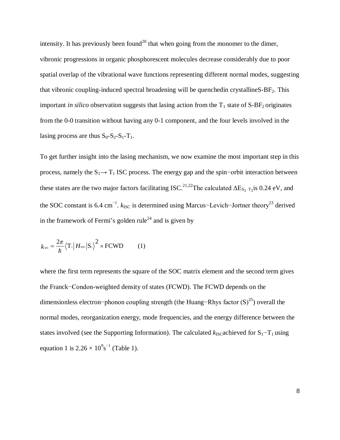intensity. It has previously been found<sup>20</sup> that when going from the monomer to the dimer, vibronic progressions in organic phosphorescent molecules decrease considerably due to poor spatial overlap of the vibrational wave functions representing different normal modes, suggesting that vibronic coupling-induced spectral broadening will be quenched in crystalline  $S-BF_2$ . This important *in silico* observation suggests that lasing action from the  $T_1$  state of  $S-BF_2$  originates from the 0-0 transition without having any 0-1 component, and the four levels involved in the lasing process are thus  $S_0-S_2-S_1-T_1$ .

To get further insight into the lasing mechanism, we now examine the most important step in this process, namely the  $S_1 \rightarrow T_1$  ISC process. The energy gap and the spin–orbit interaction between these states are the two major factors facilitating ISC.<sup>21,22</sup>The calculated  $\Delta E_{S_1-T_1}$  is 0.24 eV, and the SOC constant is 6.4 cm<sup>-1</sup>. *k*<sub>ISC</sub> is determined using Marcus</sub>–Levich–Jortner theory<sup>23</sup> derived in the framework of Fermi's golden rule<sup>24</sup> and is given by

$$
k_{\rm sc} = \frac{2\pi}{\hbar} \langle \mathbf{T}_1 | H_{\rm soc} | \mathbf{S}_1 \rangle^2 \times \text{FCWD} \tag{1}
$$

where the first term represents the square of the SOC matrix element and the second term gives the Franck−Condon-weighted density of states (FCWD). The FCWD depends on the dimensionless electron−phonon coupling strength (the Huang–Rhys factor  $(S)^{25}$ ) overall the normal modes, reorganization energy, mode frequencies, and the energy difference between the states involved (see the Supporting Information). The calculated *k*<sub>ISC</sub>achieved for S<sub>1</sub>-T<sub>1</sub> using equation 1 is  $2.26 \times 10^{9}$ s<sup>-1</sup> (Table 1).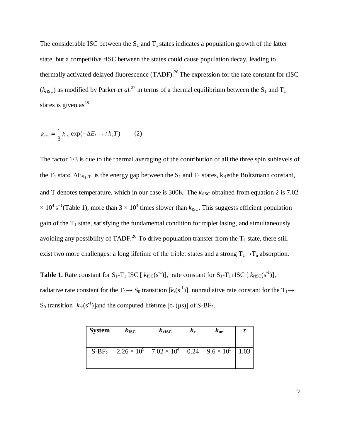The considerable ISC between the  $S_1$  and  $T_1$  states indicates a population growth of the latter state, but a competitive rISC between the states could cause population decay, leading to thermally activated delayed fluorescence  $(TADF)$ <sup>26</sup>The expression for the rate constant for rISC  $(k_{rISC})$  as modified by Parker *et al.*<sup>27</sup> in terms of a thermal equilibrium between the S<sub>1</sub> and T<sub>1</sub> states is given  $as^{28}$ 

$$
k_{\text{rsc}} = \frac{1}{3} k_{\text{sc}} \exp(-\Delta E_{s_1 - r_1} / k_{\text{B}} T) \tag{2}
$$

The factor 1/3 is due to the thermal averaging of the contribution of all the three spin sublevels of the T<sub>1</sub> state.  $\Delta E_{S_1-T_1}$  is the energy gap between the S<sub>1</sub> and T<sub>1</sub> states, k<sub>B</sub>isthe Boltzmann constant, and T denotes temperature, which in our case is  $300K$ . The  $k_{rISC}$  obtained from equation 2 is 7.02  $\times 10^4$  s<sup>-1</sup>(Table 1), more than 3  $\times 10^4$  times slower than  $k_{\text{ISC}}$ . This suggests efficient population gain of the  $T_1$  state, satisfying the fundamental condition for triplet lasing, and simultaneously avoiding any possibility of TADF.<sup>26</sup> To drive population transfer from the T<sub>1</sub> state, there still exist two more challenges: a long lifetime of the triplet states and a strong  $T_1 \rightarrow T_n$  absorption.

**Table 1.** Rate constant for  $S_1$ -T<sub>1</sub> ISC [ $k_{\text{ISC}}(s^{-1})$ ], rate constant for  $S_1$ -T<sub>1</sub> rISC [ $k_{\text{rISC}}(s^{-1})$ ], radiative rate constant for the  $T_1 \rightarrow S_0$  transition  $[k_r(s^{-1})]$ , nonradiative rate constant for the  $T_1 \rightarrow$ S<sub>0</sub> transition  $[k_{nr}(s^{-1})]$ and the computed lifetime  $[\tau_r(\mu s)]$  of S-BF<sub>2</sub>.

| <b>System</b> | $k_{\rm{ISC}}$ | $k_{\rm rISC}$                                                                            | $k_{\rm r}$ | $k_{\rm nr}$ |      |
|---------------|----------------|-------------------------------------------------------------------------------------------|-------------|--------------|------|
|               |                | $S-BF_2$   2.26 × 10 <sup>9</sup>   7.02 × 10 <sup>4</sup>   0.24   9.6 × 10 <sup>5</sup> |             |              | 1.03 |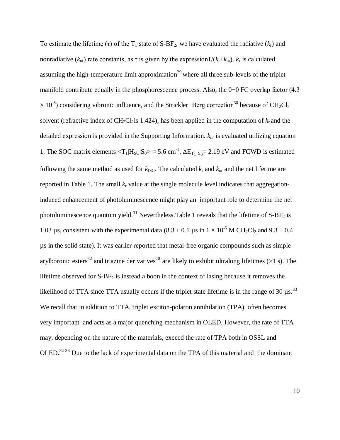To estimate the lifetime (τ) of the T<sub>1</sub> state of S-BF<sub>2</sub>, we have evaluated the radiative ( $k_r$ ) and nonradiative  $(k_{nr})$  rate constants, as  $\tau$  is given by the expression1/ $(k_r+k_{nr})$ .  $k_r$  is calculated assuming the high-temperature limit approximation<sup>29</sup> where all three sub-levels of the triplet manifold contribute equally in the phosphorescence process. Also, the 0−0 FC overlap factor (4.3  $\times$  10<sup>-6</sup>) considering vibronic influence, and the Strickler–Berg correction<sup>30</sup> because of CH<sub>2</sub>Cl<sub>2</sub> solvent (refractive index of  $CH_2Cl_2$  is 1.424), has been applied in the computation of  $k_r$  and the detailed expression is provided in the Supporting Information. *k*nr is evaluated utilizing equation 1. The SOC matrix elements  $\langle T_1|H_{SO}|S_0\rangle = 5.6$  cm<sup>-1</sup>,  $\Delta E_{T_1 \cdot S_0} = 2.19$  eV and FCWD is estimated following the same method as used for  $k_{\text{ISC}}$ . The calculated  $k_{\text{r}}$  and  $k_{\text{nr}}$  and the net lifetime are reported in Table 1. The small  $k_r$  value at the single molecule level indicates that aggregationinduced enhancement of photoluminescence might play an important role to determine the net photoluminescence quantum yield.<sup>31</sup> Nevertheless, Table 1 reveals that the lifetime of  $S-BF_2$  is 1.03 µs, consistent with the experimental data (8.3  $\pm$  0.1 µs in  $1 \times 10^{-5}$  M CH<sub>2</sub>Cl<sub>2</sub> and 9.3  $\pm$  0.4 µs in the solid state). It was earlier reported that metal-free organic compounds such as simple arylboronic esters<sup>32</sup> and triazine derivatives<sup>20</sup> are likely to exhibit ultralong lifetimes (>1 s). The lifetime observed for  $S-BF_2$  is instead a boon in the context of lasing because it removes the likelihood of TTA since TTA usually occurs if the triplet state lifetime is in the range of  $30 \mu s$ .<sup>33</sup> We recall that in addition to TTA, triplet exciton-polaron annihilation (TPA) often becomes very important and acts as a major quenching mechanism in OLED. However, the rate of TTA may, depending on the nature of the materials, exceed the rate of TPA both in OSSL and OLED.34-36 Due to the lack of experimental data on the TPA of this material and the dominant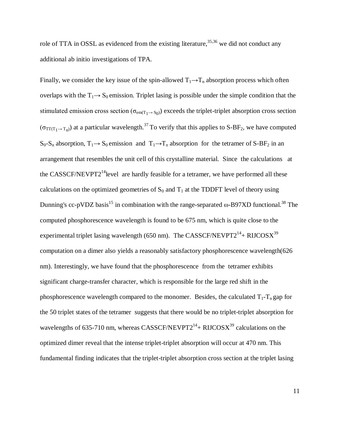role of TTA in OSSL as evidenced from the existing literature,  $35,36$  we did not conduct any additional ab initio investigations of TPA.

Finally, we consider the key issue of the spin-allowed  $T_1 \rightarrow T_n$  absorption process which often overlaps with the  $T_1 \rightarrow S_0$  emission. Triplet lasing is possible under the simple condition that the stimulated emission cross section ( $\sigma_{em(T_1 \to S_0)}$ ) exceeds the triplet-triplet absorption cross section  $(\sigma_{TT(T_1 \to T_n)})$  at a particular wavelength.<sup>37</sup> To verify that this applies to S-BF<sub>2</sub>, we have computed  $S_0-S_n$  absorption,  $T_1\rightarrow S_0$  emission and  $T_1\rightarrow T_n$  absorption for the tetramer of S-BF<sub>2</sub> in an arrangement that resembles the unit cell of this crystalline material. Since the calculations at the CASSCF/NEVPT $2^{14}$ level are hardly feasible for a tetramer, we have performed all these calculations on the optimized geometries of  $S_0$  and  $T_1$  at the TDDFT level of theory using Dunning's cc-pVDZ basis<sup>15</sup> in combination with the range-separated  $\omega$ -B97XD functional.<sup>38</sup> The computed phosphorescence wavelength is found to be 675 nm, which is quite close to the experimental triplet lasing wavelength (650 nm). The CASSCF/NEVPT2<sup>14</sup>+ RIJCOSX<sup>39</sup> computation on a dimer also yields a reasonably satisfactory phosphorescence wavelength(626 nm). Interestingly, we have found that the phosphorescence from the tetramer exhibits significant charge-transfer character, which is responsible for the large red shift in the phosphorescence wavelength compared to the monomer. Besides, the calculated  $T_1 - T_n$  gap for the 50 triplet states of the tetramer suggests that there would be no triplet-triplet absorption for wavelengths of 635-710 nm, whereas CASSCF/NEVPT2<sup>14</sup>+ RIJCOS $X^{39}$  calculations on the optimized dimer reveal that the intense triplet-triplet absorption will occur at 470 nm. This fundamental finding indicates that the triplet-triplet absorption cross section at the triplet lasing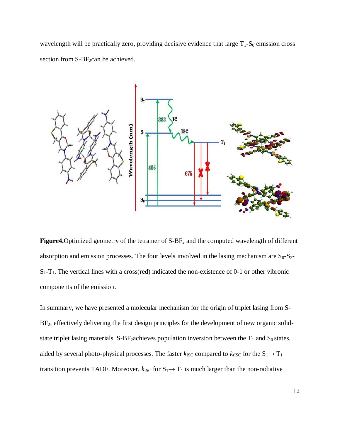wavelength will be practically zero, providing decisive evidence that large  $T_1$ -S<sub>0</sub> emission cross section from  $S-BF_2$ can be achieved.



Figure4. Optimized geometry of the tetramer of S-BF<sub>2</sub> and the computed wavelength of different absorption and emission processes. The four levels involved in the lasing mechanism are  $S_0-S_2$ - $S_1-T_1$ . The vertical lines with a cross(red) indicated the non-existence of 0-1 or other vibronic components of the emission.

In summary, we have presented a molecular mechanism for the origin of triplet lasing from S-BF<sub>2</sub>, effectively delivering the first design principles for the development of new organic solidstate triplet lasing materials. S-BF<sub>2</sub>achieves population inversion between the  $T_1$  and  $S_0$  states, aided by several photo-physical processes. The faster  $k_{\text{ISC}}$  compared to  $k_{\text{rISC}}$  for the  $S_1 \rightarrow T_1$ transition prevents TADF. Moreover,  $k_{\text{ISC}}$  for  $S_1 \rightarrow T_1$  is much larger than the non-radiative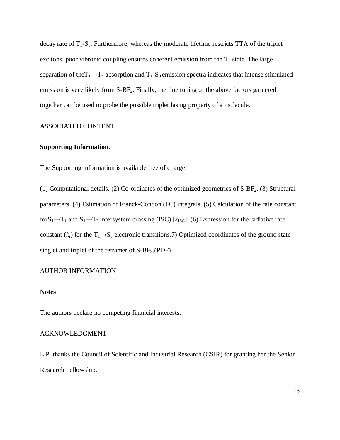decay rate of  $T_1$ -S<sub>0</sub>. Furthermore, whereas the moderate lifetime restricts TTA of the triplet excitons, poor vibronic coupling ensures coherent emission from the  $T_1$  state. The large separation of the  $T_1 \rightarrow T_n$  absorption and  $T_1$ -S<sub>0</sub> emission spectra indicates that intense stimulated emission is very likely from S-BF2. Finally, the fine tuning of the above factors garnered together can be used to probe the possible triplet lasing property of a molecule.

## ASSOCIATED CONTENT

## **Supporting Information**.

The Supporting information is available free of charge.

(1) Computational details. (2) Co-ordinates of the optimized geometries of  $S-BF_2$ . (3) Structural parameters. (4) Estimation of Franck-Condon (FC) integrals. (5) Calculation of the rate constant forS<sub>1</sub>→T<sub>1</sub> and S<sub>1</sub>→T<sub>2</sub> intersystem crossing (ISC) [ $k_{\text{ISC}}$ ]. (6) Expression for the radiative rate constant  $(k_r)$  for the T<sub>1</sub>→S<sub>0</sub> electronic transitions.7) Optimized coordinates of the ground state singlet and triplet of the tetramer of  $S-BF_2$ .(PDF)

#### AUTHOR INFORMATION

#### **Notes**

The authors declare no competing financial interests.

## ACKNOWLEDGMENT

L.P. thanks the Council of Scientific and Industrial Research (CSIR) for granting her the Senior Research Fellowship.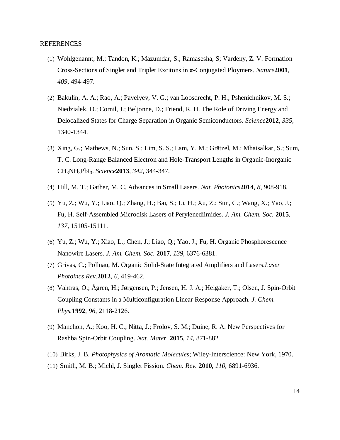#### **REFERENCES**

- (1) Wohlgenannt, M.; Tandon, K.; Mazumdar, S.; Ramasesha, S; Vardeny, Z. V. Formation Cross-Sections of Singlet and Triplet Excitons in π-Conjugated Ploymers. *Nature***2001**, *409*, 494-497.
- (2) Bakulin, A. A.; Rao, A.; Pavelyev, V. G.; van Loosdrecht, P. H.; Pshenichnikov, M. S.; Niedzialek, D.; Cornil, J.; Beljonne, D.; Friend, R. H. The Role of Driving Energy and Delocalized States for Charge Separation in Organic Semiconductors. *Science***2012**, *335*, 1340-1344.
- (3) Xing, G.; Mathews, N.; Sun, S.; Lim, S. S.; Lam, Y. M.; Grätzel, M.; Mhaisalkar, S.; Sum, T. C. Long-Range Balanced Electron and Hole-Transport Lengths in Organic-Inorganic CH3NH3PbI3. *Science***2013**, *342*, 344-347.
- (4) Hill, M. T.; Gather, M. C. Advances in Small Lasers. *Nat. Photonics***2014**, *8*, 908-918.
- (5) Yu, Z.; Wu, Y.; Liao, Q.; Zhang, H.; Bai, S.; Li, H.; Xu, Z.; Sun, C.; Wang, X.; Yao, J.; Fu, H. Self-Assembled Microdisk Lasers of Perylenediimides. *J. Am. Chem. Soc.* **2015**, *137*, 15105-15111.
- (6) Yu, Z.; Wu, Y.; Xiao, L.; Chen, J.; Liao, Q.; Yao, J.; Fu, H. Organic Phosphorescence Nanowire Lasers. *J. Am. Chem. Soc.* **2017**, *139*, 6376-6381.
- (7) Grivas, C.; Pollnau, M. Organic Solid-State Integrated Amplifiers and Lasers.*Laser Photoincs Rev.***2012**, *6*, 419-462.
- (8) Vahtras, O.; Ågren, H.; Jørgensen, P.; Jensen, H. J. A.; Helgaker, T.; Olsen, J. Spin-Orbit Coupling Constants in a Multiconfiguration Linear Response Approach. *J. Chem. Phys.***1992**, *96*, 2118-2126.
- (9) Manchon, A.; Koo, H. C.; Nitta, J.; Frolov, S. M.; Duine, R. A. New Perspectives for Rashba Spin-Orbit Coupling. *Nat. Mater.* **2015**, *14*, 871-882.
- (10) Birks, J. B. *Photophysics of Aromatic Molecules*; Wiley-Interscience: New York, 1970.
- (11) Smith, M. B.; Michl, J. Singlet Fission. *Chem. Rev.* **2010**, *110*, 6891-6936.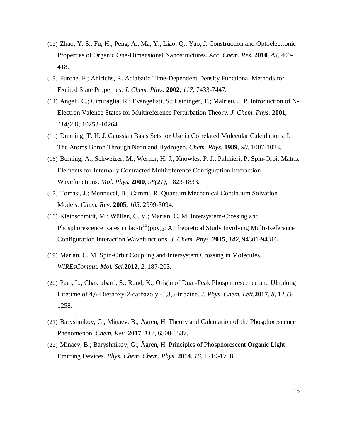- (12) Zhao, Y. S.; Fu, H.; Peng, A.; Ma, Y.; Liao, Q.; Yao, J. Construction and Optoelectronic Properties of Organic One-Dimensional Nanostructures. *Acc. Chem. Res.* **2010**, *43*, 409- 418.
- (13) Furche, F.; Ahlrichs, R. Adiabatic Time-Dependent Density Functional Methods for Excited State Properties. *J. Chem. Phys.* **2002**, *117*, 7433-7447.
- (14) Angeli, C.; Cimiraglia, R.; Evangelisti, S.; Leininger, T.; Malrieu, J. P. Introduction of N-Electron Valence States for Multireference Perturbation Theory. *J. Chem. Phys.* **2001**, *114(23)*, 10252-10264.
- (15) Dunning, T. H. J. Gaussian Basis Sets for Use in Correlated Molecular Calculations. I. The Atoms Boron Through Neon and Hydrogen. *Chem. Phys.* **1989**, *90*, 1007-1023.
- (16) Berning, A.; Schweizer, M.; Werner, H. J.; Knowles, P. J.; Palmieri, P. Spin-Orbit Matrix Elements for Internally Contracted Multireference Configuration Interaction Wavefunctions. *Mol. Phys.* **2000**, *98(21)*, 1823-1833.
- (17) Tomasi, J.; Mennucci, B.; Cammi, R. Quantum Mechanical Continuum Solvation Models. *Chem. Rev.* **2005**, *105*, 2999-3094.
- (18) Kleinschmidt, M.; Wüllen, C. V.; Marian, C. M. Intersystem-Crossing and Phosphorescence Rates in fac-Ir $^{III}$ (ppy)<sub>3</sub>: A Theoretical Study Involving Multi-Reference Configuration Interaction Wavefunctions. *J. Chem. Phys.* **2015**, *142*, 94301-94316.
- (19) Marian, C. M. Spin-Orbit Coupling and Intersystem Crossing in Molecules. *WIREsComput. Mol. Sci.***2012**, *2*, 187-203.
- (20) Paul, L.; Chakrabarti, S.; Ruud, K.; Origin of Dual-Peak Phosphorescence and Ultralong Lifetime of 4,6-Diethoxy-2-carbazolyl-1,3,5-triazine. *J. Phys. Chem. Lett.***2017**, *8*, 1253- 1258.
- (21) Baryshnikov, G.; Minaev, B.; Ågren, H. Theory and Calculation of the Phosphorescence Phenomenon. *Chem. Rev.* **2017**, *117*, 6500-6537.
- (22) Minaev, B.; Baryshnikov, G.; Ågren, H. Principles of Phosphorescent Organic Light Emitting Devices. *Phys. Chem. Chem. Phys.* **2014**, *16*, 1719-1758.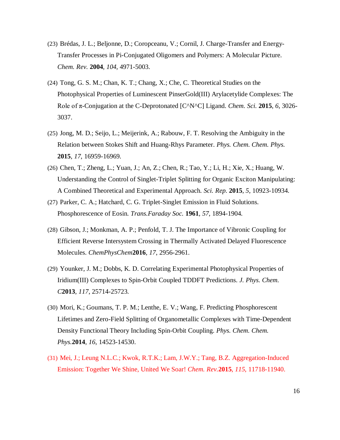- (23) Brédas, J. L.; Beljonne, D.; Coropceanu, V.; Cornil, J. Charge-Transfer and Energy-Transfer Processes in Pi-Conjugated Oligomers and Polymers: A Molecular Picture. *Chem. Rev.* **2004**, *104*, 4971-5003.
- (24) Tong, G. S. M.; Chan, K. T.; Chang, X.; Che, C. Theoretical Studies on the Photophysical Properties of Luminescent PinserGold(III) Arylacetylide Complexes: The Role of π-Conjugation at the C-Deprotonated [C^N^C] Ligand. *Chem. Sci.* **2015**, *6*, 3026- 3037.
- (25) Jong, M. D.; Seijo, L.; Meijerink, A.; Rabouw, F. T. Resolving the Ambiguity in the Relation between Stokes Shift and Huang-Rhys Parameter. *Phys. Chem. Chem. Phys.*  **2015**, *17*, 16959-16969.
- (26) Chen, T.; Zheng, L.; Yuan, J.; An, Z.; Chen, R.; Tao, Y.; Li, H.; Xie, X.; Huang, W. Understanding the Control of Singlet-Triplet Splitting for Organic Exciton Manipulating: A Combined Theoretical and Experimental Approach. *Sci. Rep.* **2015**, *5*, 10923-10934.
- (27) Parker, C. A.; Hatchard, C. G. Triplet-Singlet Emission in Fluid Solutions. Phosphorescence of Eosin. *Trans.Faraday Soc.* **1961**, *57*, 1894-1904.
- (28) Gibson, J.; Monkman, A. P.; Penfold, T. J. The Importance of Vibronic Coupling for Efficient Reverse Intersystem Crossing in Thermally Activated Delayed Fluorescence Molecules. *ChemPhysChem***2016**, *17*, 2956-2961.
- (29) Younker, J. M.; Dobbs, K. D. Correlating Experimental Photophysical Properties of Iridium(III) Complexes to Spin-Orbit Coupled TDDFT Predictions. *J. Phys. Chem. C***2013**, *117*, 25714-25723.
- (30) Mori, K.; Goumans, T. P. M.; Lenthe, E. V.; Wang, F. Predicting Phosphorescent Lifetimes and Zero-Field Splitting of Organometallic Complexes with Time-Dependent Density Functional Theory Including Spin-Orbit Coupling. *Phys. Chem. Chem. Phys.***2014**, *16*, 14523-14530.
- (31) Mei, J.; Leung N.L.C.; Kwok, R.T.K.; Lam, J.W.Y.; Tang, B.Z. Aggregation-Induced Emission: Together We Shine, United We Soar! *Chem. Rev.***2015**, *115*, 11718-11940.